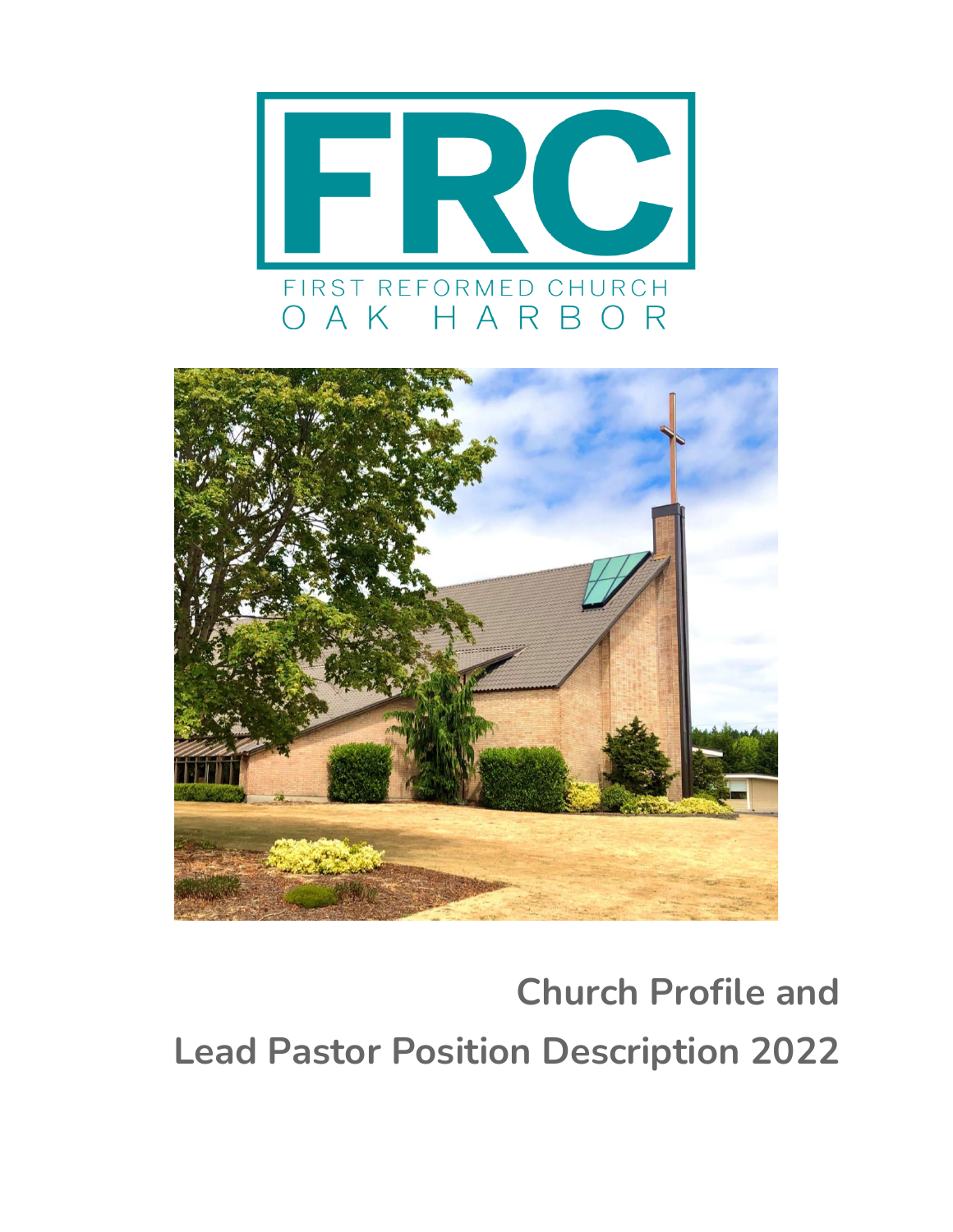



# **Church Profile and Lead Pastor Position Description 2022**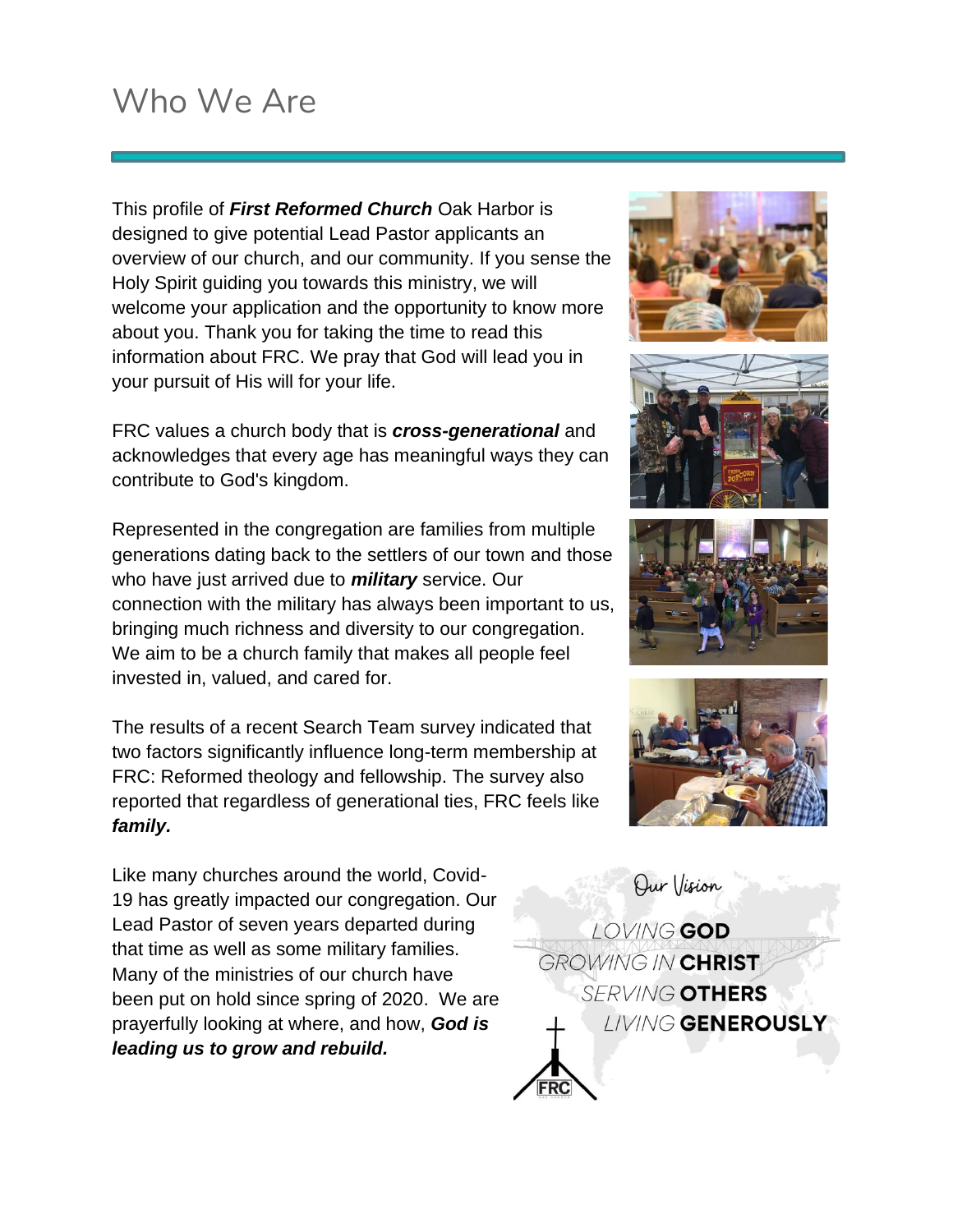## Who We Are

This profile of *First Reformed Church* Oak Harbor is designed to give potential Lead Pastor applicants an overview of our church, and our community. If you sense the Holy Spirit guiding you towards this ministry, we will welcome your application and the opportunity to know more about you. Thank you for taking the time to read this information about FRC. We pray that God will lead you in your pursuit of His will for your life.

FRC values a church body that is *cross-generational* and acknowledges that every age has meaningful ways they can contribute to God's kingdom.

Represented in the congregation are families from multiple generations dating back to the settlers of our town and those who have just arrived due to *military* service. Our connection with the military has always been important to us, bringing much richness and diversity to our congregation. We aim to be a church family that makes all people feel invested in, valued, and cared for.

The results of a recent Search Team survey indicated that two factors significantly influence long-term membership at FRC: Reformed theology and fellowship. The survey also reported that regardless of generational ties, FRC feels like *family.*

Like many churches around the world, Covid-19 has greatly impacted our congregation. Our Lead Pastor of seven years departed during that time as well as some military families. Many of the ministries of our church have been put on hold since spring of 2020. We are prayerfully looking at where, and how, *God is leading us to grow and rebuild.*









Our Vision LOVING GOD GROWING IN CHRIST **SERVING OTHERS LIVING GENEROUSLY**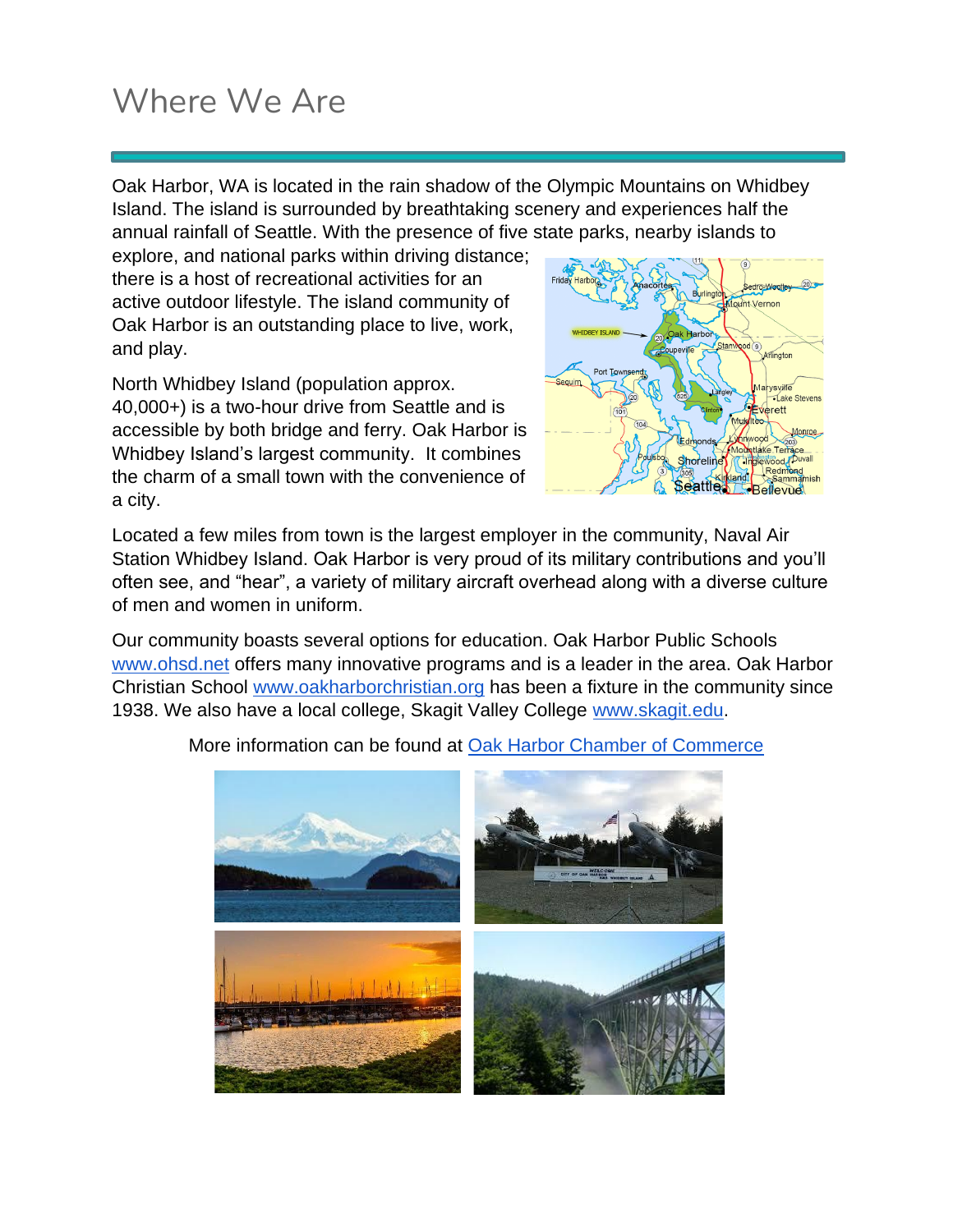# Where We Are

Oak Harbor, WA is located in the rain shadow of the Olympic Mountains on Whidbey Island. The island is surrounded by breathtaking scenery and experiences half the annual rainfall of Seattle. With the presence of five state parks, nearby islands to

explore, and national parks within driving distance; there is a host of recreational activities for an active outdoor lifestyle. The island community of Oak Harbor is an outstanding place to live, work, and play.

North Whidbey Island (population approx. 40,000+) is a two-hour drive from Seattle and is accessible by both bridge and ferry. Oak Harbor is Whidbey Island's largest community. It combines the charm of a small town with the convenience of a city.



Located a few miles from town is the largest employer in the community, Naval Air Station Whidbey Island. Oak Harbor is very proud of its military contributions and you'll often see, and "hear", a variety of military aircraft overhead along with a diverse culture of men and women in uniform.

Our community boasts several options for education. Oak Harbor Public Schools [www.ohsd.net](http://www.ohsd.net/) offers many innovative programs and is a leader in the area. Oak Harbor Christian School [www.oakharborchristian.org](https://www.oakharborchristian.org/) has been a fixture in the community since 1938. We also have a local college, Skagit Valley College [www.skagit.edu.](http://www.skagit.edu/)



More information can be found at [Oak Harbor Chamber of Commerce](https://www.oakharborchamber.com/)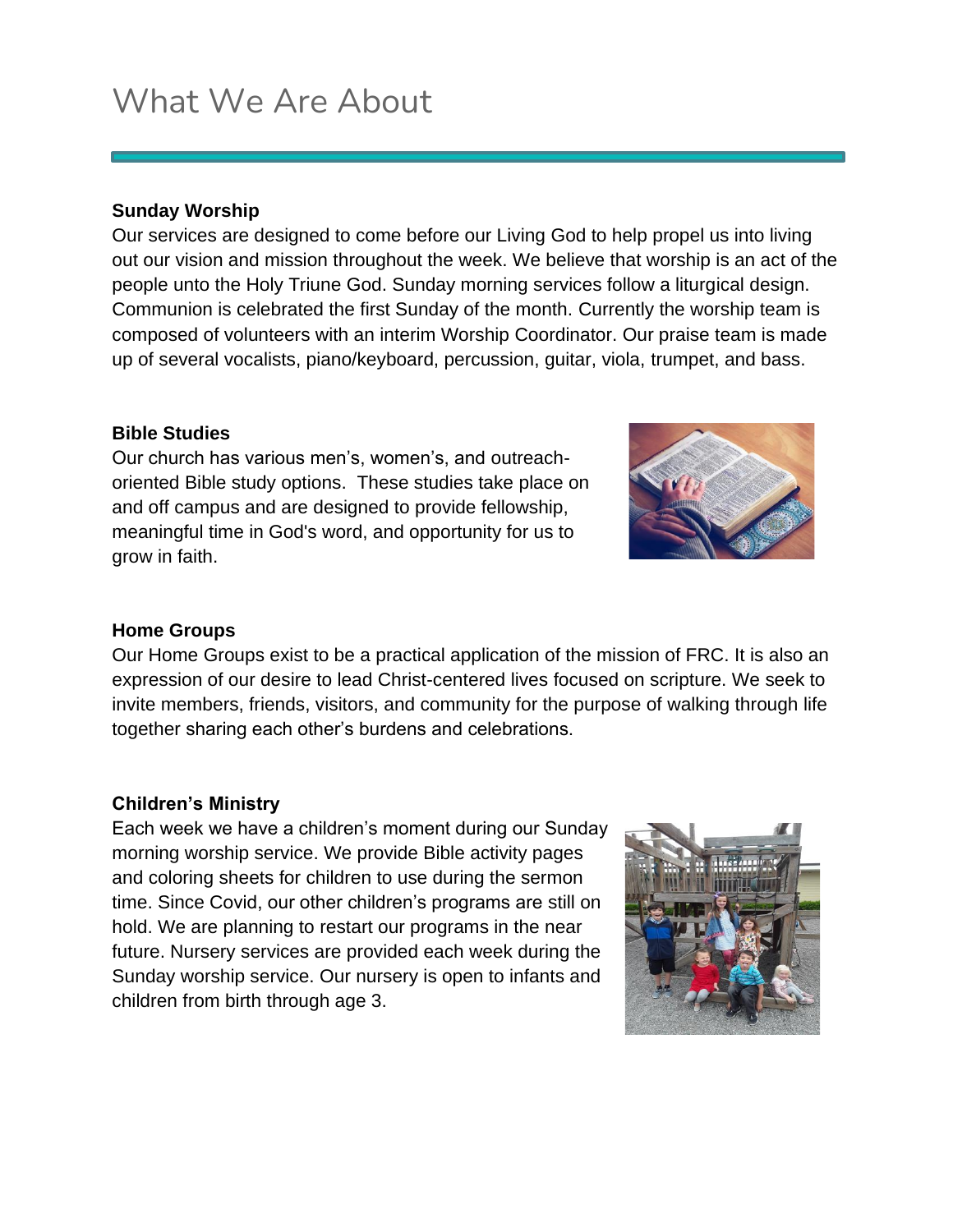# What We Are About

#### **Sunday Worship**

Our services are designed to come before our Living God to help propel us into living out our vision and mission throughout the week. We believe that worship is an act of the people unto the Holy Triune God. Sunday morning services follow a liturgical design. Communion is celebrated the first Sunday of the month. Currently the worship team is composed of volunteers with an interim Worship Coordinator. Our praise team is made up of several vocalists, piano/keyboard, percussion, guitar, viola, trumpet, and bass.

#### **Bible Studies**

Our church has various men's, women's, and outreachoriented Bible study options. These studies take place on and off campus and are designed to provide fellowship, meaningful time in God's word, and opportunity for us to grow in faith.



#### **Home Groups**

Our Home Groups exist to be a practical application of the mission of FRC. It is also an expression of our desire to lead Christ-centered lives focused on scripture. We seek to invite members, friends, visitors, and community for the purpose of walking through life together sharing each other's burdens and celebrations.

#### **Children's Ministry**

Each week we have a children's moment during our Sunday morning worship service. We provide Bible activity pages and coloring sheets for children to use during the sermon time. Since Covid, our other children's programs are still on hold. We are planning to restart our programs in the near future. Nursery services are provided each week during the Sunday worship service. Our nursery is open to infants and children from birth through age 3.

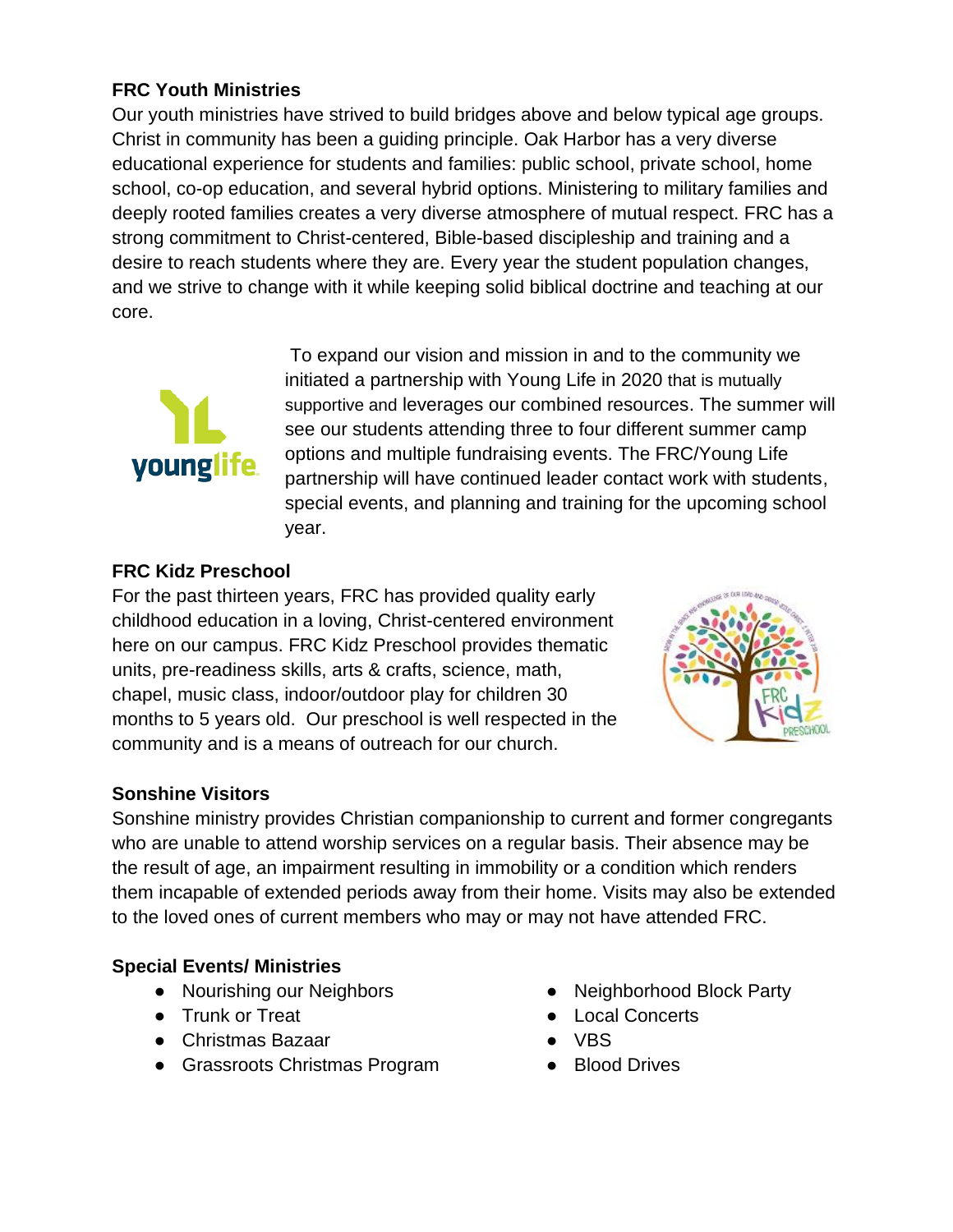#### **FRC Youth Ministries**

Our youth ministries have strived to build bridges above and below typical age groups. Christ in community has been a guiding principle. Oak Harbor has a very diverse educational experience for students and families: public school, private school, home school, co-op education, and several hybrid options. Ministering to military families and deeply rooted families creates a very diverse atmosphere of mutual respect. FRC has a strong commitment to Christ-centered, Bible-based discipleship and training and a desire to reach students where they are. Every year the student population changes, and we strive to change with it while keeping solid biblical doctrine and teaching at our core.



To expand our vision and mission in and to the community we initiated a partnership with Young Life in 2020 that is mutually supportive and leverages our combined resources. The summer will see our students attending three to four different summer camp options and multiple fundraising events. The FRC/Young Life partnership will have continued leader contact work with students, special events, and planning and training for the upcoming school year.

#### **FRC Kidz Preschool**

For the past thirteen years, FRC has provided quality early childhood education in a loving, Christ-centered environment here on our campus. FRC Kidz Preschool provides thematic units, pre-readiness skills, arts & crafts, science, math, chapel, music class, indoor/outdoor play for children 30 months to 5 years old. Our preschool is well respected in the community and is a means of outreach for our church.



#### **Sonshine Visitors**

Sonshine ministry provides Christian companionship to current and former congregants who are unable to attend worship services on a regular basis. Their absence may be the result of age, an impairment resulting in immobility or a condition which renders them incapable of extended periods away from their home. Visits may also be extended to the loved ones of current members who may or may not have attended FRC.

#### **Special Events/ Ministries**

- Nourishing our Neighbors
- Trunk or Treat
- Christmas Bazaar
- Grassroots Christmas Program
- Neighborhood Block Party
- Local Concerts
- VBS
- Blood Drives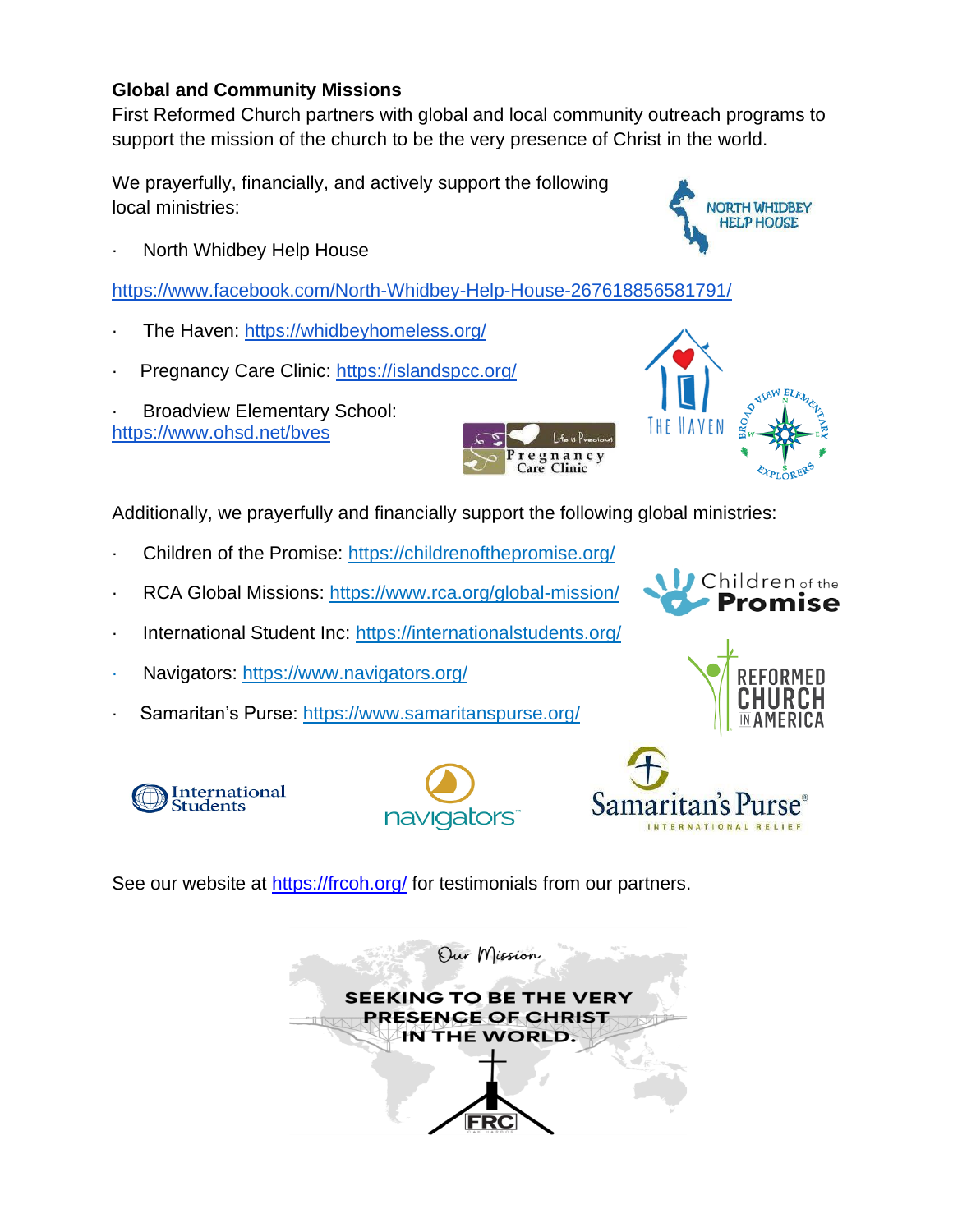#### **Global and Community Missions**

First Reformed Church partners with global and local community outreach programs to support the mission of the church to be the very presence of Christ in the world.

We prayerfully, financially, and actively support the following local ministries:



North Whidbey Help House

<https://www.facebook.com/North-Whidbey-Help-House-267618856581791/>

- The Haven[:](https://whidbeyhomeless.org/) <https://whidbeyhomeless.org/>
- Pregnancy Care Clinic[:](https://islandspcc.org/) <https://islandspcc.org/>
- Broadview Elementary School[:](https://www.ohsd.net/bves) <https://www.ohsd.net/bves>



Additionally, we prayerfully and financially support the following global ministries:

- · Children of the Promise[:](https://childrenofthepromise.org/) <https://childrenofthepromise.org/>
- RCA Global Missions[:](https://www.rca.org/global-mission/) <https://www.rca.org/global-mission/>
- International Student Inc: <https://internationalstudents.org/>
- Navigators[:](https://www.navigators.org/) <https://www.navigators.org/>
- Samaritan's Purse[:](https://www.samaritanspurse.org/) <https://www.samaritanspurse.org/>





**JIEW EL** 





Samaritan's F

See our website at<https://frcoh.org/> for testimonials from our partners.

Our Mission **SEEKING TO BE THE VERY PRESENCE OF CHRIST** IN THE WORLD.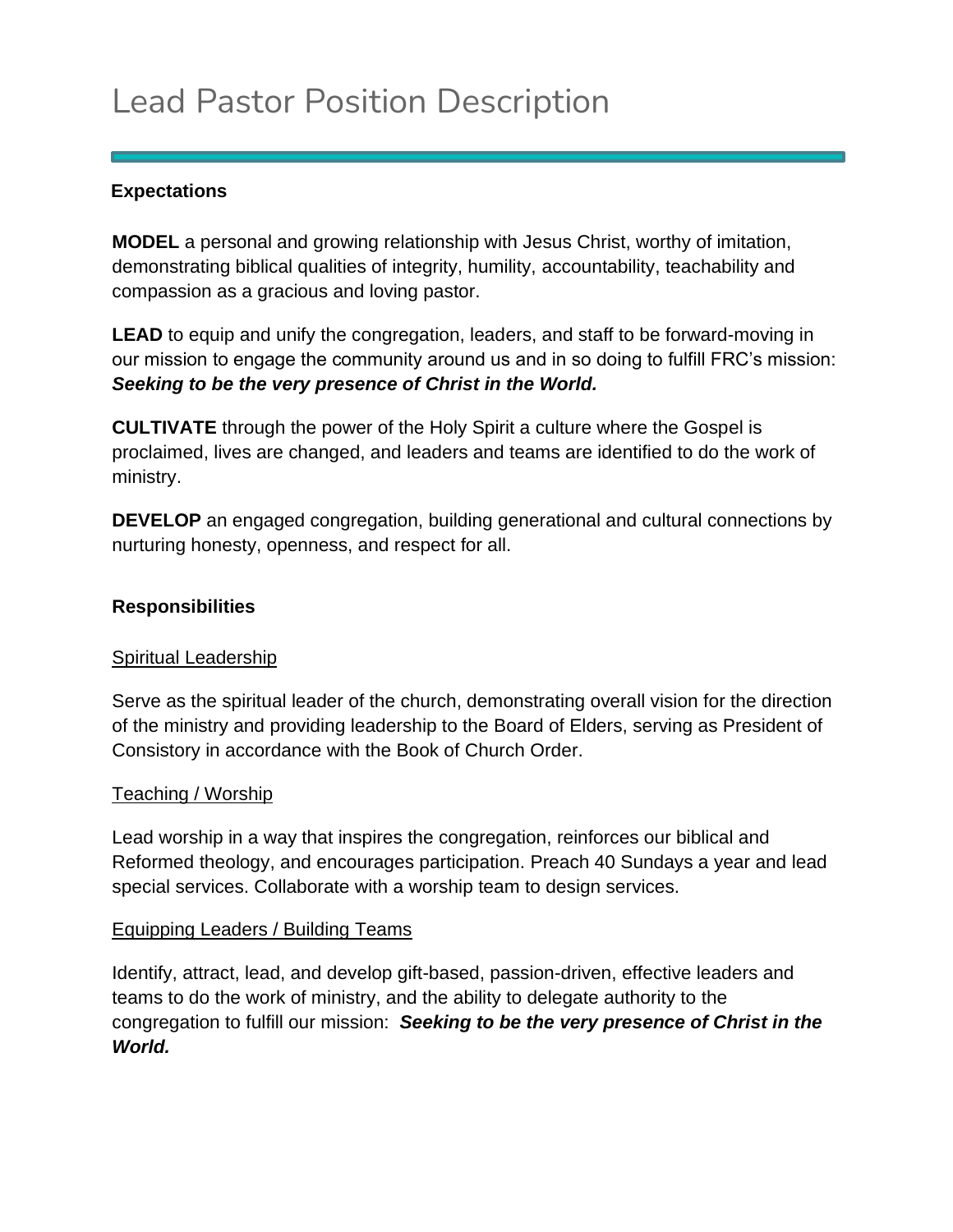# Lead Pastor Position Description

#### **Expectations**

**MODEL** a personal and growing relationship with Jesus Christ, worthy of imitation, demonstrating biblical qualities of integrity, humility, accountability, teachability and compassion as a gracious and loving pastor.

**LEAD** to equip and unify the congregation, leaders, and staff to be forward-moving in our mission to engage the community around us and in so doing to fulfill FRC's mission: *Seeking to be the very presence of Christ in the World.*

**CULTIVATE** through the power of the Holy Spirit a culture where the Gospel is proclaimed, lives are changed, and leaders and teams are identified to do the work of ministry.

**DEVELOP** an engaged congregation, building generational and cultural connections by nurturing honesty, openness, and respect for all.

#### **Responsibilities**

#### Spiritual Leadership

Serve as the spiritual leader of the church, demonstrating overall vision for the direction of the ministry and providing leadership to the Board of Elders, serving as President of Consistory in accordance with the Book of Church Order.

#### Teaching / Worship

Lead worship in a way that inspires the congregation, reinforces our biblical and Reformed theology, and encourages participation. Preach 40 Sundays a year and lead special services. Collaborate with a worship team to design services.

#### Equipping Leaders / Building Teams

Identify, attract, lead, and develop gift-based, passion-driven, effective leaders and teams to do the work of ministry, and the ability to delegate authority to the congregation to fulfill our mission: *Seeking to be the very presence of Christ in the World.*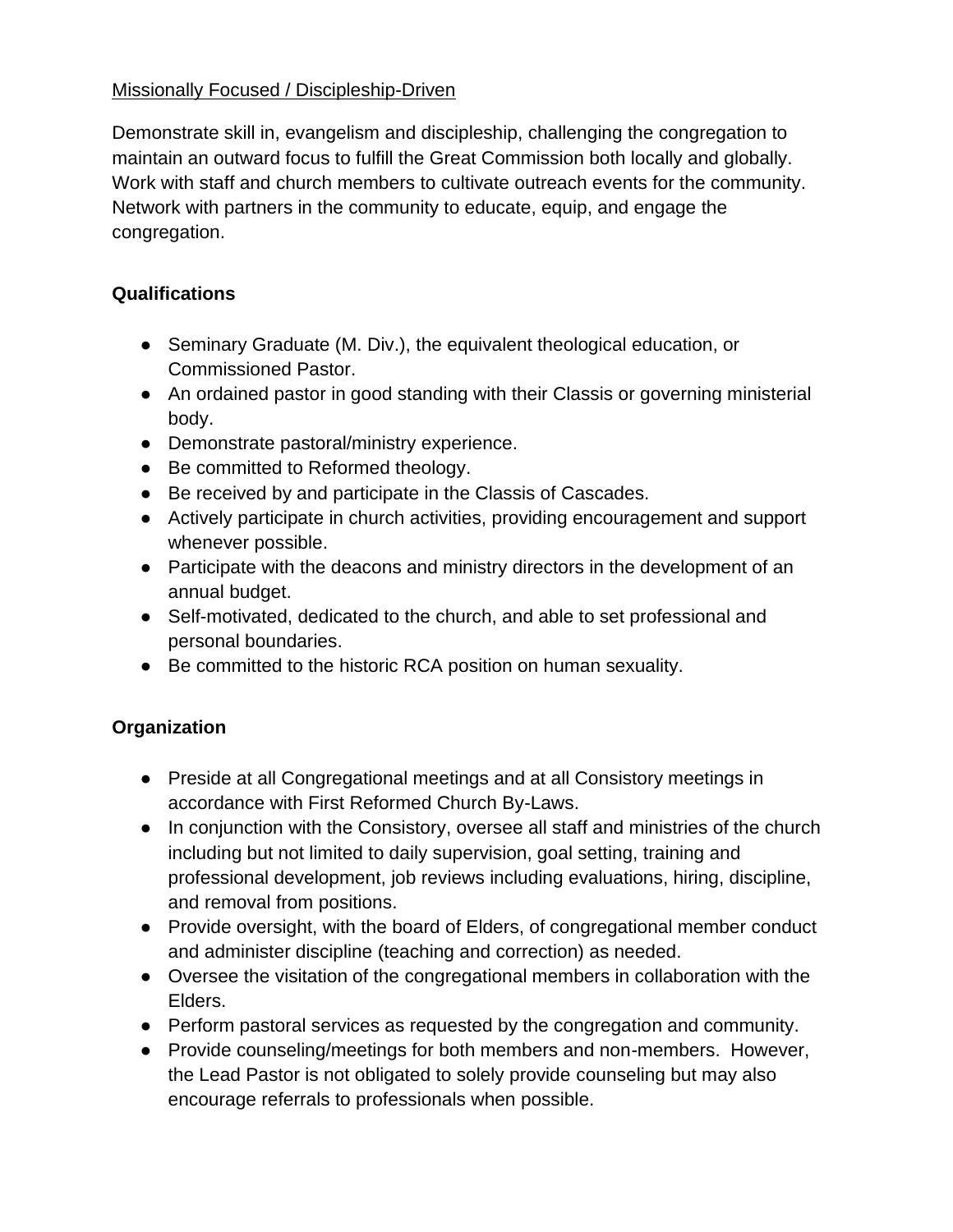#### Missionally Focused / Discipleship-Driven

Demonstrate skill in, evangelism and discipleship, challenging the congregation to maintain an outward focus to fulfill the Great Commission both locally and globally. Work with staff and church members to cultivate outreach events for the community. Network with partners in the community to educate, equip, and engage the congregation.

#### **Qualifications**

- Seminary Graduate (M. Div.), the equivalent theological education, or Commissioned Pastor.
- An ordained pastor in good standing with their Classis or governing ministerial body.
- Demonstrate pastoral/ministry experience.
- Be committed to Reformed theology.
- Be received by and participate in the Classis of Cascades.
- Actively participate in church activities, providing encouragement and support whenever possible.
- Participate with the deacons and ministry directors in the development of an annual budget.
- Self-motivated, dedicated to the church, and able to set professional and personal boundaries.
- Be committed to the historic RCA position on human sexuality.

#### **Organization**

- Preside at all Congregational meetings and at all Consistory meetings in accordance with First Reformed Church By-Laws.
- In conjunction with the Consistory, oversee all staff and ministries of the church including but not limited to daily supervision, goal setting, training and professional development, job reviews including evaluations, hiring, discipline, and removal from positions.
- Provide oversight, with the board of Elders, of congregational member conduct and administer discipline (teaching and correction) as needed.
- Oversee the visitation of the congregational members in collaboration with the Elders.
- Perform pastoral services as requested by the congregation and community.
- Provide counseling/meetings for both members and non-members. However, the Lead Pastor is not obligated to solely provide counseling but may also encourage referrals to professionals when possible.